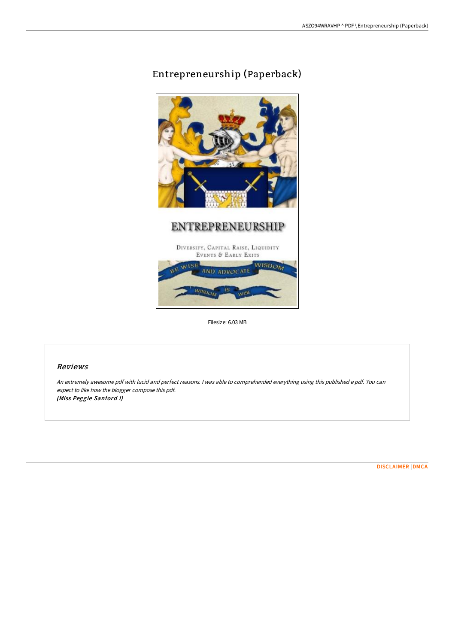## Entrepreneurship (Paperback)



Filesize: 6.03 MB

## Reviews

An extremely awesome pdf with lucid and perfect reasons. <sup>I</sup> was able to comprehended everything using this published <sup>e</sup> pdf. You can expect to like how the blogger compose this pdf. (Miss Peggie Sanford I)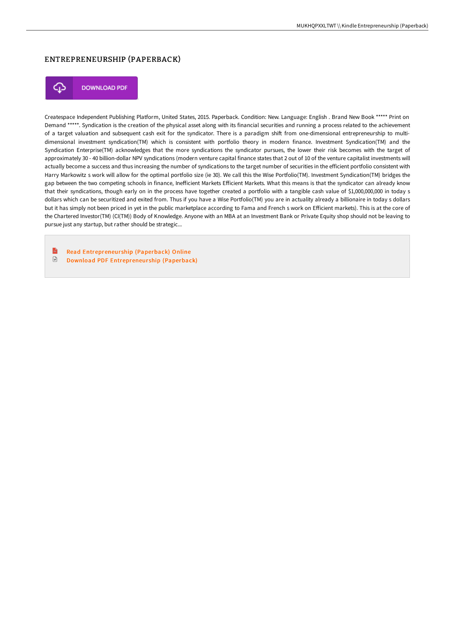## ENTREPRENEURSHIP (PAPERBACK)



**DOWNLOAD PDF** 

Createspace Independent Publishing Platform, United States, 2015. Paperback. Condition: New. Language: English . Brand New Book \*\*\*\*\* Print on Demand \*\*\*\*\*. Syndication is the creation of the physical asset along with its financial securities and running a process related to the achievement of a target valuation and subsequent cash exit for the syndicator. There is a paradigm shift from one-dimensional entrepreneurship to multidimensional investment syndication(TM) which is consistent with portfolio theory in modern finance. Investment Syndication(TM) and the Syndication Enterprise(TM) acknowledges that the more syndications the syndicator pursues, the lower their risk becomes with the target of approximately 30 - 40 billion-dollar NPV syndications (modern venture capital finance states that 2 out of 10 of the venture capitalist investments will actually become a success and thus increasing the number of syndications to the target number of securities in the efficient portfolio consistent with Harry Markowitz s work will allow for the optimal portfolio size (ie 30). We call this the Wise Portfolio(TM). Investment Syndication(TM) bridges the gap between the two competing schools in finance, IneFicient Markets EFicient Markets. What this means is that the syndicator can already know that their syndications, though early on in the process have together created a portfolio with a tangible cash value of \$1,000,000,000 in today s dollars which can be securitized and exited from. Thus if you have a Wise Portfolio(TM) you are in actuality already a billionaire in today s dollars but it has simply not been priced in yet in the public marketplace according to Fama and French s work on EFicient markets). This is at the core of the Chartered Investor(TM) (CI(TM)) Body of Knowledge. Anyone with an MBA at an Investment Bank or Private Equity shop should not be leaving to pursue just any startup, but rather should be strategic...

 $\mathbb{R}$ Read [Entrepreneur](http://techno-pub.tech/entrepreneurship-paperback.html) ship (Paperback) Online  $\ensuremath{\mathop\square}\xspace$ Download PDF [Entrepreneur](http://techno-pub.tech/entrepreneurship-paperback.html) ship (Paperback)